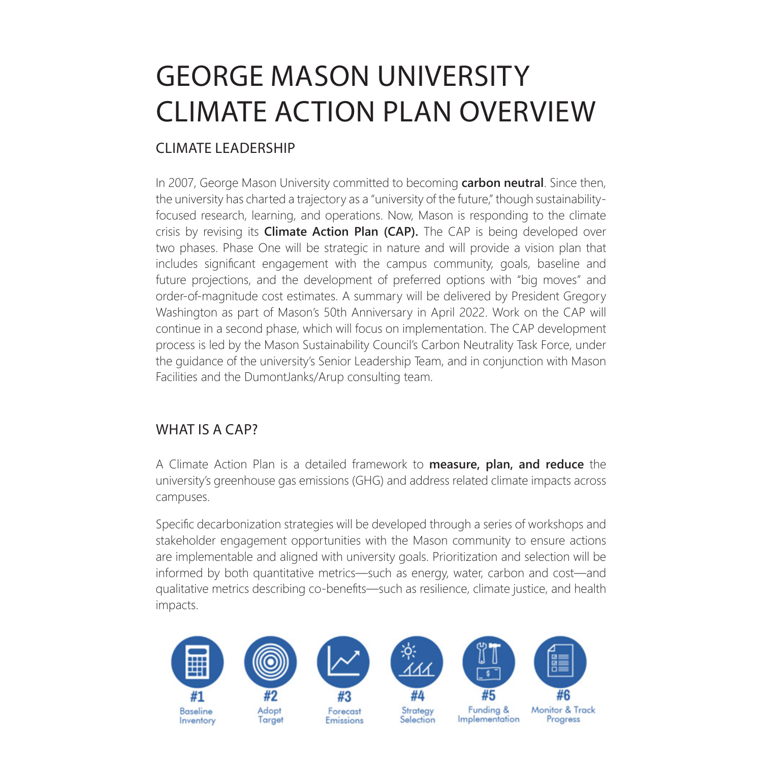# GEORGE MASON UNIVERSITY CLIMATE ACTION PLAN OVERVIEW

## CLIMATE LEADERSHIP

In 2007, George Mason University committed to becoming **carbon neutral**. Since then, the university has charted a trajectory as a "university of the future," though sustainabilityfocused research, learning, and operations. Now, Mason is responding to the climate crisis by revising its **Climate Action Plan (CAP).** The CAP is being developed over two phases. Phase One will be strategic in nature and will provide a vision plan that includes significant engagement with the campus community, goals, baseline and future projections, and the development of preferred options with "big moves" and order-of-magnitude cost estimates. A summary will be delivered by President Gregory Washington as part of Mason's 50th Anniversary in April 2022. Work on the CAP will continue in a second phase, which will focus on implementation. The CAP development process is led by the Mason Sustainability Council's Carbon Neutrality Task Force, under the guidance of the university's Senior Leadership Team, and in conjunction with Mason Facilities and the DumontJanks/Arup consulting team.

### WHAT IS A CAP?

A Climate Action Plan is a detailed framework to **measure, plan, and reduce** the university's greenhouse gas emissions (GHG) and address related climate impacts across campuses.

Specific decarbonization strategies will be developed through a series of workshops and stakeholder engagement opportunities with the Mason community to ensure actions are implementable and aligned with university goals. Prioritization and selection will be informed by both quantitative metrics—such as energy, water, carbon and cost—and qualitative metrics describing co-benefits—such as resilience, climate justice, and health impacts.